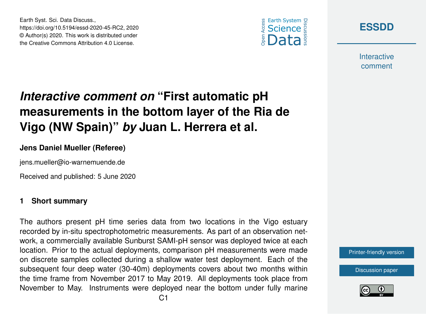





**Interactive** comment

# *Interactive comment on* **"First automatic pH measurements in the bottom layer of the Ria de Vigo (NW Spain)"** *by* **Juan L. Herrera et al.**

### **Jens Daniel Mueller (Referee)**

jens.mueller@io-warnemuende.de

Received and published: 5 June 2020

### **1 Short summary**

The authors present pH time series data from two locations in the Vigo estuary recorded by in-situ spectrophotometric measurements. As part of an observation network, a commercially available Sunburst SAMI-pH sensor was deployed twice at each location. Prior to the actual deployments, comparison pH measurements were made on discrete samples collected during a shallow water test deployment. Each of the subsequent four deep water (30-40m) deployments covers about two months within the time frame from November 2017 to May 2019. All deployments took place from November to May. Instruments were deployed near the bottom under fully marine



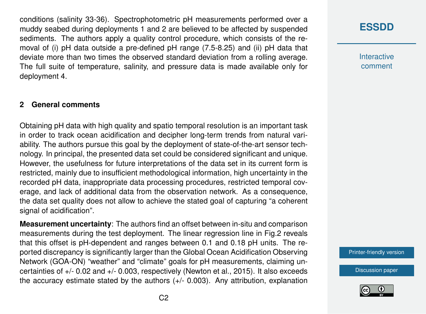conditions (salinity 33-36). Spectrophotometric pH measurements performed over a muddy seabed during deployments 1 and 2 are believed to be affected by suspended sediments. The authors apply a quality control procedure, which consists of the removal of (i) pH data outside a pre-defined pH range (7.5-8.25) and (ii) pH data that deviate more than two times the observed standard deviation from a rolling average. The full suite of temperature, salinity, and pressure data is made available only for deployment 4.

#### **2 General comments**

Obtaining pH data with high quality and spatio temporal resolution is an important task in order to track ocean acidification and decipher long-term trends from natural variability. The authors pursue this goal by the deployment of state-of-the-art sensor technology. In principal, the presented data set could be considered significant and unique. However, the usefulness for future interpretations of the data set in its current form is restricted, mainly due to insufficient methodological information, high uncertainty in the recorded pH data, inappropriate data processing procedures, restricted temporal coverage, and lack of additional data from the observation network. As a consequence, the data set quality does not allow to achieve the stated goal of capturing "a coherent signal of acidification".

**Measurement uncertainty**: The authors find an offset between in-situ and comparison measurements during the test deployment. The linear regression line in Fig.2 reveals that this offset is pH-dependent and ranges between 0.1 and 0.18 pH units. The reported discrepancy is significantly larger than the Global Ocean Acidification Observing Network (GOA-ON) "weather" and "climate" goals for pH measurements, claiming uncertainties of +/- 0.02 and +/- 0.003, respectively (Newton et al., 2015). It also exceeds the accuracy estimate stated by the authors (+/- 0.003). Any attribution, explanation

# **[ESSDD](https://www.earth-syst-sci-data-discuss.net/)**

**Interactive** comment

[Printer-friendly version](https://www.earth-syst-sci-data-discuss.net/essd-2020-45/essd-2020-45-RC2-print.pdf)

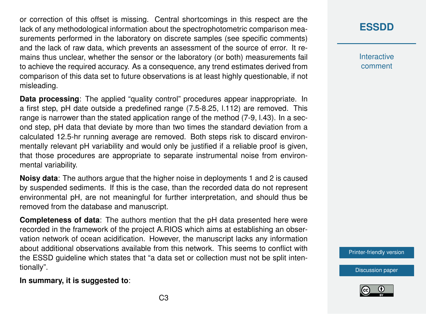or correction of this offset is missing. Central shortcomings in this respect are the lack of any methodological information about the spectrophotometric comparison measurements performed in the laboratory on discrete samples (see specific comments) and the lack of raw data, which prevents an assessment of the source of error. It remains thus unclear, whether the sensor or the laboratory (or both) measurements fail to achieve the required accuracy. As a consequence, any trend estimates derived from comparison of this data set to future observations is at least highly questionable, if not misleading.

**Data processing:** The applied "quality control" procedures appear inappropriate. In a first step, pH date outside a predefined range (7.5-8.25, l.112) are removed. This range is narrower than the stated application range of the method (7-9, l.43). In a second step, pH data that deviate by more than two times the standard deviation from a calculated 12.5-hr running average are removed. Both steps risk to discard environmentally relevant pH variability and would only be justified if a reliable proof is given, that those procedures are appropriate to separate instrumental noise from environmental variability.

**Noisy data**: The authors argue that the higher noise in deployments 1 and 2 is caused by suspended sediments. If this is the case, than the recorded data do not represent environmental pH, are not meaningful for further interpretation, and should thus be removed from the database and manuscript.

**Completeness of data**: The authors mention that the pH data presented here were recorded in the framework of the project A.RIOS which aims at establishing an observation network of ocean acidification. However, the manuscript lacks any information about additional observations available from this network. This seems to conflict with the ESSD guideline which states that "a data set or collection must not be split intentionally".

# **[ESSDD](https://www.earth-syst-sci-data-discuss.net/)**

**Interactive** comment

[Printer-friendly version](https://www.earth-syst-sci-data-discuss.net/essd-2020-45/essd-2020-45-RC2-print.pdf)





### **In summary, it is suggested to**: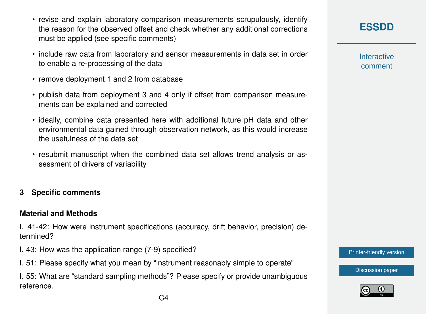- revise and explain laboratory comparison measurements scrupulously, identify the reason for the observed offset and check whether any additional corrections must be applied (see specific comments)
- include raw data from laboratory and sensor measurements in data set in order to enable a re-processing of the data
- remove deployment 1 and 2 from database
- publish data from deployment 3 and 4 only if offset from comparison measurements can be explained and corrected
- ideally, combine data presented here with additional future pH data and other environmental data gained through observation network, as this would increase the usefulness of the data set
- resubmit manuscript when the combined data set allows trend analysis or assessment of drivers of variability

### **3 Specific comments**

### **Material and Methods**

l. 41-42: How were instrument specifications (accuracy, drift behavior, precision) determined?

- l. 43: How was the application range (7-9) specified?
- l. 51: Please specify what you mean by "instrument reasonably simple to operate"

l. 55: What are "standard sampling methods"? Please specify or provide unambiguous reference.

**[ESSDD](https://www.earth-syst-sci-data-discuss.net/)**

**Interactive** comment

[Printer-friendly version](https://www.earth-syst-sci-data-discuss.net/essd-2020-45/essd-2020-45-RC2-print.pdf)

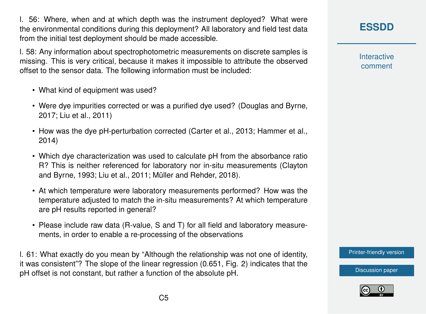l. 56: Where, when and at which depth was the instrument deployed? What were the environmental conditions during this deployment? All laboratory and field test data from the initial test deployment should be made accessible.

l. 58: Any information about spectrophotometric measurements on discrete samples is missing. This is very critical, because it makes it impossible to attribute the observed offset to the sensor data. The following information must be included:

- What kind of equipment was used?
- Were dye impurities corrected or was a purified dye used? (Douglas and Byrne, 2017; Liu et al., 2011)
- How was the dye pH-perturbation corrected (Carter et al., 2013; Hammer et al., 2014)
- Which dye characterization was used to calculate pH from the absorbance ratio R? This is neither referenced for laboratory nor in-situ measurements (Clayton and Byrne, 1993; Liu et al., 2011; Müller and Rehder, 2018).
- At which temperature were laboratory measurements performed? How was the temperature adjusted to match the in-situ measurements? At which temperature are pH results reported in general?
- Please include raw data (R-value, S and T) for all field and laboratory measurements, in order to enable a re-processing of the observations

l. 61: What exactly do you mean by "Although the relationship was not one of identity, it was consistent"? The slope of the linear regression (0.651, Fig. 2) indicates that the pH offset is not constant, but rather a function of the absolute pH.

# **[ESSDD](https://www.earth-syst-sci-data-discuss.net/)**

**Interactive** comment

[Printer-friendly version](https://www.earth-syst-sci-data-discuss.net/essd-2020-45/essd-2020-45-RC2-print.pdf)

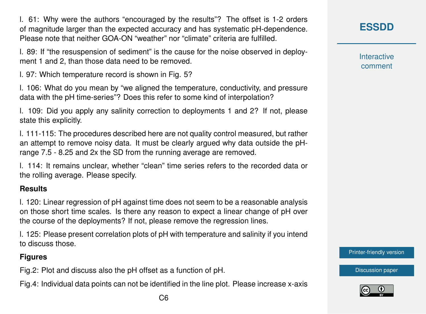l. 61: Why were the authors "encouraged by the results"? The offset is 1-2 orders of magnitude larger than the expected accuracy and has systematic pH-dependence. Please note that neither GOA-ON "weather" nor "climate" criteria are fulfilled.

l. 89: If "the resuspension of sediment" is the cause for the noise observed in deployment 1 and 2, than those data need to be removed.

l. 97: Which temperature record is shown in Fig. 5?

l. 106: What do you mean by "we aligned the temperature, conductivity, and pressure data with the pH time-series"? Does this refer to some kind of interpolation?

l. 109: Did you apply any salinity correction to deployments 1 and 2? If not, please state this explicitly.

l. 111-115: The procedures described here are not quality control measured, but rather an attempt to remove noisy data. It must be clearly argued why data outside the pHrange 7.5 - 8.25 and 2x the SD from the running average are removed.

l. 114: It remains unclear, whether "clean" time series refers to the recorded data or the rolling average. Please specify.

### **Results**

l. 120: Linear regression of pH against time does not seem to be a reasonable analysis on those short time scales. Is there any reason to expect a linear change of pH over the course of the deployments? If not, please remove the regression lines.

l. 125: Please present correlation plots of pH with temperature and salinity if you intend to discuss those.

### **Figures**

Fig.2: Plot and discuss also the pH offset as a function of pH.

Fig.4: Individual data points can not be identified in the line plot. Please increase x-axis

**Interactive** comment

[Printer-friendly version](https://www.earth-syst-sci-data-discuss.net/essd-2020-45/essd-2020-45-RC2-print.pdf)

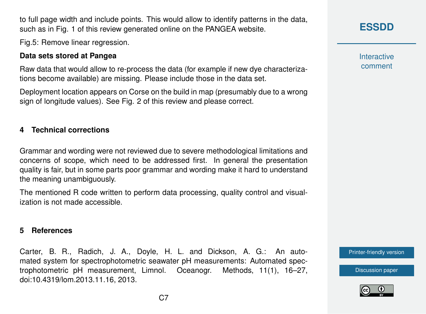$C<sub>7</sub>$ 

to full page width and include points. This would allow to identify patterns in the data, such as in Fig. 1 of this review generated online on the PANGEA website.

Fig.5: Remove linear regression.

### **Data sets stored at Pangea**

Raw data that would allow to re-process the data (for example if new dye characterizations become available) are missing. Please include those in the data set.

Deployment location appears on Corse on the build in map (presumably due to a wrong sign of longitude values). See Fig. 2 of this review and please correct.

### **4 Technical corrections**

Grammar and wording were not reviewed due to severe methodological limitations and concerns of scope, which need to be addressed first. In general the presentation quality is fair, but in some parts poor grammar and wording make it hard to understand the meaning unambiguously.

The mentioned R code written to perform data processing, quality control and visualization is not made accessible.

#### **5 References**

Carter, B. R., Radich, J. A., Doyle, H. L. and Dickson, A. G.: An automated system for spectrophotometric seawater pH measurements: Automated spectrophotometric pH measurement, Limnol. Oceanogr. Methods, 11(1), 16–27, doi:10.4319/lom.2013.11.16, 2013.

## **[ESSDD](https://www.earth-syst-sci-data-discuss.net/)**

**Interactive** comment

[Printer-friendly version](https://www.earth-syst-sci-data-discuss.net/essd-2020-45/essd-2020-45-RC2-print.pdf)

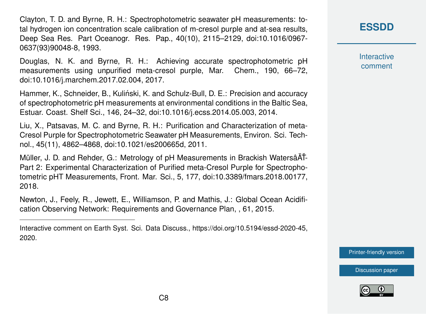Clayton, T. D. and Byrne, R. H.: Spectrophotometric seawater pH measurements: total hydrogen ion concentration scale calibration of m-cresol purple and at-sea results, Deep Sea Res. Part Oceanogr. Res. Pap., 40(10), 2115–2129, doi:10.1016/0967- 0637(93)90048-8, 1993.

Douglas, N. K. and Byrne, R. H.: Achieving accurate spectrophotometric pH measurements using unpurified meta-cresol purple, Mar. Chem., 190, 66–72, doi:10.1016/j.marchem.2017.02.004, 2017.

Hammer, K., Schneider, B., Kulinski, K. and Schulz-Bull, D. E.: Precision and accuracy ´ of spectrophotometric pH measurements at environmental conditions in the Baltic Sea, Estuar. Coast. Shelf Sci., 146, 24–32, doi:10.1016/j.ecss.2014.05.003, 2014.

Liu, X., Patsavas, M. C. and Byrne, R. H.: Purification and Characterization of meta-Cresol Purple for Spectrophotometric Seawater pH Measurements, Environ. Sci. Technol., 45(11), 4862–4868, doi:10.1021/es200665d, 2011.

Müller, J. D. and Rehder, G.: Metrology of pH Measurements in Brackish WatersâAT-Part 2: Experimental Characterization of Purified meta-Cresol Purple for Spectrophotometric pHT Measurements, Front. Mar. Sci., 5, 177, doi:10.3389/fmars.2018.00177, 2018.

Newton, J., Feely, R., Jewett, E., Williamson, P. and Mathis, J.: Global Ocean Acidification Observing Network: Requirements and Governance Plan, , 61, 2015.

Interactive comment on Earth Syst. Sci. Data Discuss., https://doi.org/10.5194/essd-2020-45, 2020.

**[ESSDD](https://www.earth-syst-sci-data-discuss.net/)**

**Interactive** comment

[Printer-friendly version](https://www.earth-syst-sci-data-discuss.net/essd-2020-45/essd-2020-45-RC2-print.pdf)

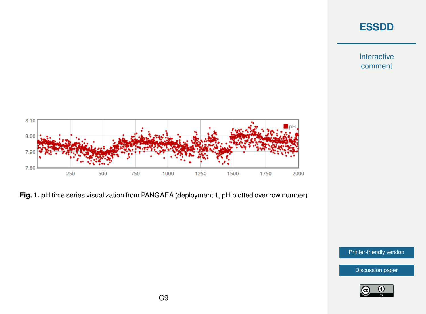### **[ESSDD](https://www.earth-syst-sci-data-discuss.net/)**

Interactive comment



**Fig. 1.** pH time series visualization from PANGAEA (deployment 1, pH plotted over row number)

[Printer-friendly version](https://www.earth-syst-sci-data-discuss.net/essd-2020-45/essd-2020-45-RC2-print.pdf)